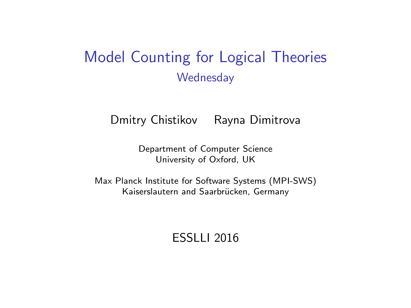# Model Counting for Logical Theories **Wednesday**

Dmitry Chistikov Rayna Dimitrova

Department of Computer Science University of Oxford, UK

Max Planck Institute for Software Systems (MPI-SWS) Kaiserslautern and Saarbrücken, Germany

ESSLLI 2016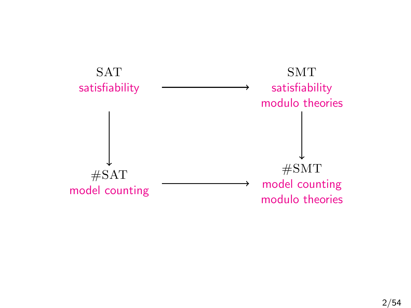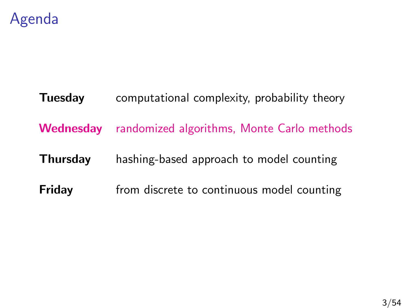

# **Tuesday** computational complexity, probability theory Wednesday randomized algorithms, Monte Carlo methods **Thursday** hashing-based approach to model counting **Friday** from discrete to continuous model counting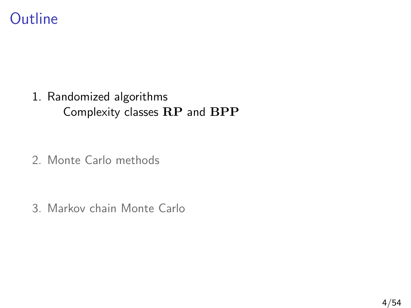# **Outline**

#### 1. [Randomized algorithms](#page-3-0) [Complexity classes](#page-4-0) RP and BPP

2. [Monte Carlo methods](#page-21-0)

<span id="page-3-0"></span>3. [Markov chain Monte Carlo](#page-40-0)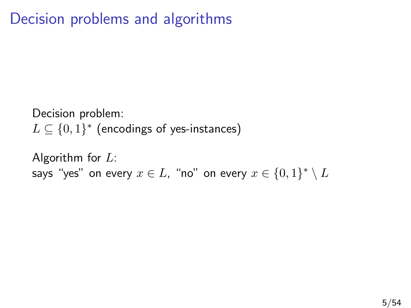# Decision problems and algorithms

Decision problem:  $L \subseteq \{0,1\}^*$  (encodings of yes-instances)

<span id="page-4-0"></span>Algorithm for  $L$ : says "yes" on every  $x\in L$ , "no" on every  $x\in \{0,1\}^*\setminus L$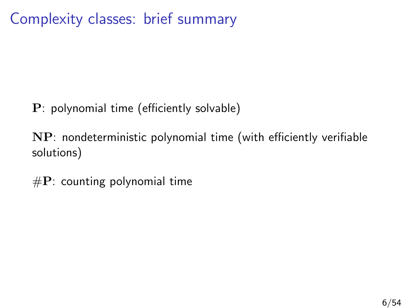Complexity classes: brief summary

P: polynomial time (efficiently solvable)

NP: nondeterministic polynomial time (with efficiently verifiable solutions)

 $\#P$ : counting polynomial time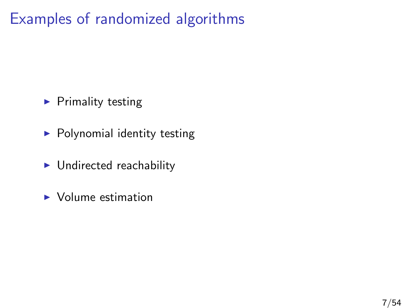# Examples of randomized algorithms

- $\blacktriangleright$  Primality testing
- $\blacktriangleright$  Polynomial identity testing
- $\blacktriangleright$  Undirected reachability
- $\blacktriangleright$  Volume estimation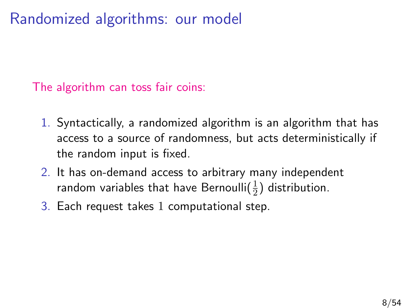# Randomized algorithms: our model

The algorithm can toss fair coins:

- 1. Syntactically, a randomized algorithm is an algorithm that has access to a source of randomness, but acts deterministically if the random input is fixed.
- 2. It has on-demand access to arbitrary many independent random variables that have Bernoulli $(\frac{1}{2})$  distribution.
- 3. Each request takes 1 computational step.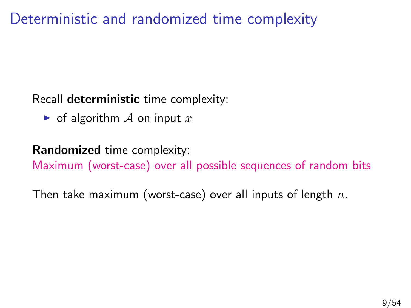# Deterministic and randomized time complexity

#### Recall **deterministic** time complexity:

 $\triangleright$  of algorithm A on input x

#### Randomized time complexity:

Maximum (worst-case) over all possible sequences of random bits

Then take maximum (worst-case) over all inputs of length  $n$ .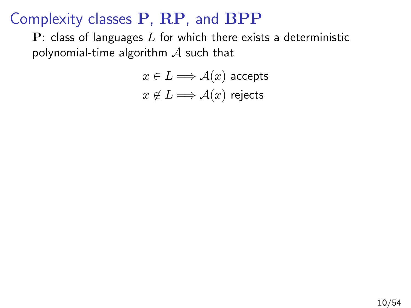$P$ : class of languages  $L$  for which there exists a deterministic polynomial-time algorithm  $\mathcal A$  such that

> $x \in L \Longrightarrow \mathcal{A}(x)$  accepts  $x \notin L \Longrightarrow \mathcal{A}(x)$  rejects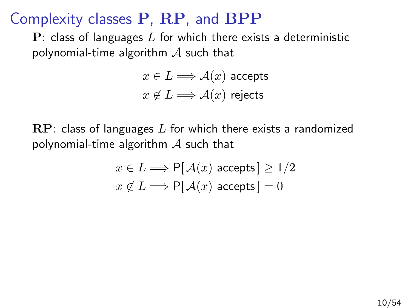$\mathbf{P}$ : class of languages L for which there exists a deterministic polynomial-time algorithm  $\mathcal A$  such that

> $x \in L \Longrightarrow \mathcal{A}(x)$  accepts  $x \notin L \Longrightarrow \mathcal{A}(x)$  rejects

 $\mathbb{RP}$ : class of languages L for which there exists a randomized polynomial-time algorithm  $\mathcal A$  such that

$$
x \in L \Longrightarrow \mathsf{P}[\mathcal{A}(x) \text{ accepts}] \ge 1/2
$$

$$
x \notin L \Longrightarrow \mathsf{P}[\mathcal{A}(x) \text{ accepts}] = 0
$$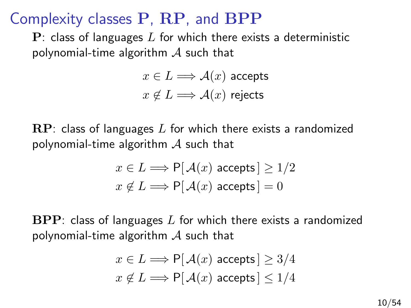$\mathbf{P}$ : class of languages L for which there exists a deterministic polynomial-time algorithm  $\mathcal A$  such that

> $x \in L \Longrightarrow \mathcal{A}(x)$  accepts  $x \notin L \Longrightarrow \mathcal{A}(x)$  rejects

 $\mathbb{RP}$ : class of languages L for which there exists a randomized polynomial-time algorithm  $\mathcal A$  such that

$$
x \in L \Longrightarrow \mathsf{P}[\mathcal{A}(x) \text{ accepts}] \ge 1/2
$$

$$
x \notin L \Longrightarrow \mathsf{P}[\mathcal{A}(x) \text{ accepts}] = 0
$$

 $BPP$ : class of languages L for which there exists a randomized polynomial-time algorithm  $\mathcal A$  such that

$$
x \in L \Longrightarrow \mathsf{P}[\mathcal{A}(x) \text{ accepts}] \ge 3/4
$$

$$
x \notin L \Longrightarrow \mathsf{P}[\mathcal{A}(x) \text{ accepts}] \le 1/4
$$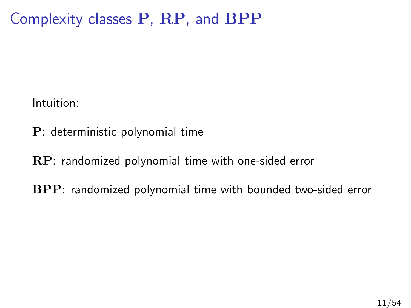Intuition:

- P: deterministic polynomial time
- RP: randomized polynomial time with one-sided error
- BPP: randomized polynomial time with bounded two-sided error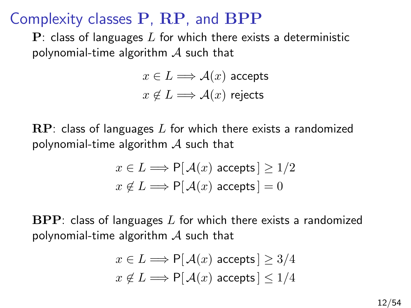$\mathbf{P}$ : class of languages L for which there exists a deterministic polynomial-time algorithm  $\mathcal A$  such that

> $x \in L \Longrightarrow \mathcal{A}(x)$  accepts  $x \notin L \Longrightarrow \mathcal{A}(x)$  rejects

 $\mathbb{RP}$ : class of languages L for which there exists a randomized polynomial-time algorithm  $\mathcal A$  such that

$$
x \in L \Longrightarrow \mathsf{P}[\mathcal{A}(x) \text{ accepts}] \ge 1/2
$$

$$
x \notin L \Longrightarrow \mathsf{P}[\mathcal{A}(x) \text{ accepts}] = 0
$$

 $BPP$ : class of languages L for which there exists a randomized polynomial-time algorithm  $\mathcal A$  such that

$$
x \in L \Longrightarrow \mathsf{P}[\mathcal{A}(x) \text{ accepts}] \ge 3/4
$$

$$
x \notin L \Longrightarrow \mathsf{P}[\mathcal{A}(x) \text{ accepts}] \le 1/4
$$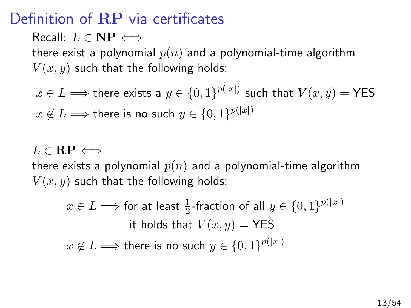# Definition of RP via certificates

Recall:  $L \in \mathbf{NP} \Longleftrightarrow$ 

there exist a polynomial  $p(n)$  and a polynomial-time algorithm  $V(x, y)$  such that the following holds:

 $x\in L \Longrightarrow$  there exists a  $y\in \{0,1\}^{p(|x|)}$  such that  $V(x,y) = \textsf{YES}$  $x\not\in L \Longrightarrow$  there is no such  $y\in\{0,1\}^{p(|x|)}$ 

#### $L \in \mathbf{RP} \Longleftrightarrow$

there exists a polynomial  $p(n)$  and a polynomial-time algorithm  $V(x, y)$  such that the following holds:

 $x\in L \Longrightarrow$  for at least  $\frac{1}{2}$ -fraction of all  $y\in\{0,1\}^{p(|x|)}$ it holds that  $V(x, y) = \text{YES}$  $x\not\in L \Longrightarrow$  there is no such  $y\in\{0,1\}^{p(|x|)}$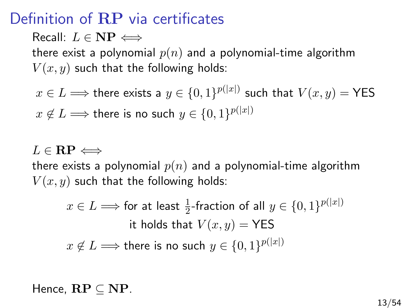# Definition of RP via certificates

Recall:  $L \in \mathbf{NP} \Longleftrightarrow$ 

there exist a polynomial  $p(n)$  and a polynomial-time algorithm  $V(x, y)$  such that the following holds:

 $x\in L \Longrightarrow$  there exists a  $y\in \{0,1\}^{p(|x|)}$  such that  $V(x,y) = \textsf{YES}$  $x\not\in L \Longrightarrow$  there is no such  $y\in\{0,1\}^{p(|x|)}$ 

#### $L \in \mathbf{RP} \Longleftrightarrow$

there exists a polynomial  $p(n)$  and a polynomial-time algorithm  $V(x, y)$  such that the following holds:

$$
x \in L \Longrightarrow \text{for at least } \frac{1}{2}\text{-fraction of all } y \in \{0, 1\}^{p(|x|)}
$$
  
it holds that  $V(x, y) = \text{YES}$   

$$
x \notin L \Longrightarrow \text{there is no such } y \in \{0, 1\}^{p(|x|)}
$$

Hence,  $\mathbf{RP} \subseteq \mathbf{NP}$ .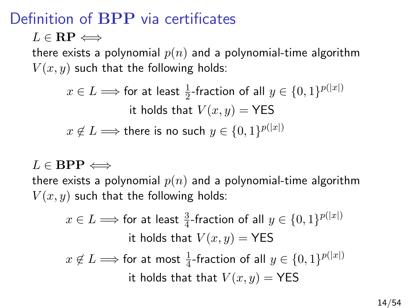# Definition of BPP via certificates

 $L \in \mathbf{RP} \Longleftrightarrow$ 

there exists a polynomial  $p(n)$  and a polynomial-time algorithm  $V(x, y)$  such that the following holds:

> $x\in L \Longrightarrow$  for at least  $\frac{1}{2}$ -fraction of all  $y\in\{0,1\}^{p(|x|)}$ it holds that  $V(x, y) = \text{YES}$  $x\not\in L \Longrightarrow$  there is no such  $y\in\{0,1\}^{p(|x|)}$

 $L \in \mathbf{BPP} \Longleftrightarrow$ 

there exists a polynomial  $p(n)$  and a polynomial-time algorithm  $V(x, y)$  such that the following holds:

 $x\in L \Longrightarrow$  for at least  $\frac{3}{4}$ -fraction of all  $y\in\{0,1\}^{p(|x|)}$ it holds that  $V(x, y) = \text{YES}$  $x\not\in L \Longrightarrow$  for at most  $\frac{1}{4}$ -fraction of all  $y\in\{0,1\}^{p(|x|)}$ it holds that that  $V(x, y) = \text{YES}$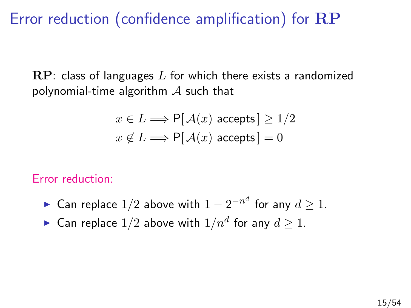Error reduction (confidence amplification) for RP

 $\mathbf{RP}$ : class of languages L for which there exists a randomized polynomial-time algorithm  $\mathcal A$  such that

$$
x \in L \Longrightarrow \mathsf{P}[\mathcal{A}(x) \text{ accepts}] \ge 1/2
$$

$$
x \notin L \Longrightarrow \mathsf{P}[\mathcal{A}(x) \text{ accepts}] = 0
$$

Error reduction:

- ► Can replace  $1/2$  above with  $1-2^{-n^d}$  for any  $d\geq 1.$
- $\blacktriangleright$  Can replace  $1/2$  above with  $1/n^d$  for any  $d\geq 1.$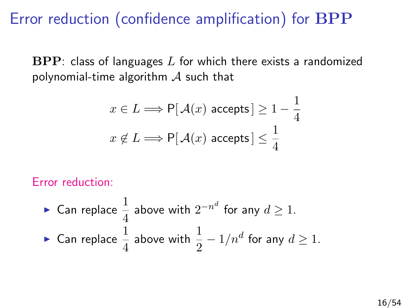Error reduction (confidence amplification) for BPP

 $BPP:$  class of languages  $L$  for which there exists a randomized polynomial-time algorithm  $\mathcal A$  such that

$$
x \in L \Longrightarrow \mathsf{P}[\mathcal{A}(x) \text{ accepts}] \ge 1 - \frac{1}{4}
$$
  
 $x \notin L \Longrightarrow \mathsf{P}[\mathcal{A}(x) \text{ accepts}] \le \frac{1}{4}$ 

Error reduction:

\n- Can replace 
$$
\frac{1}{4}
$$
 above with  $2^{-n^d}$  for any  $d \geq 1$ .
\n- Can replace  $\frac{1}{4}$  above with  $\frac{1}{2} - 1/n^d$  for any  $d \geq 1$ .
\n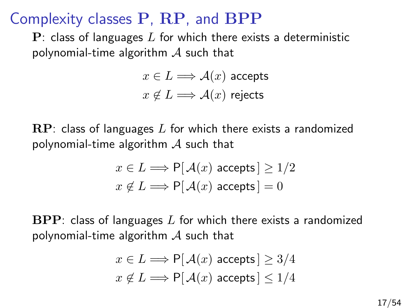$\mathbf{P}$ : class of languages L for which there exists a deterministic polynomial-time algorithm  $\mathcal A$  such that

> $x \in L \Longrightarrow \mathcal{A}(x)$  accepts  $x \notin L \Longrightarrow \mathcal{A}(x)$  rejects

 $\mathbb{RP}$ : class of languages L for which there exists a randomized polynomial-time algorithm  $\mathcal A$  such that

$$
x \in L \Longrightarrow \mathsf{P}[\mathcal{A}(x) \text{ accepts}] \ge 1/2
$$

$$
x \notin L \Longrightarrow \mathsf{P}[\mathcal{A}(x) \text{ accepts}] = 0
$$

 $BPP$ : class of languages L for which there exists a randomized polynomial-time algorithm  $\mathcal A$  such that

$$
x \in L \Longrightarrow \mathsf{P}[\mathcal{A}(x) \text{ accepts}] \ge 3/4
$$

$$
x \notin L \Longrightarrow \mathsf{P}[\mathcal{A}(x) \text{ accepts}] \le 1/4
$$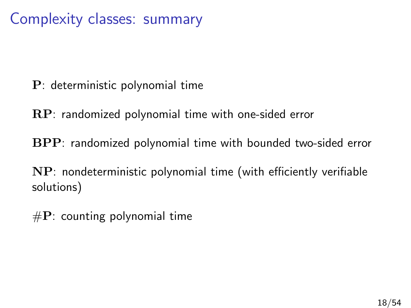Complexity classes: summary

- P: deterministic polynomial time
- RP: randomized polynomial time with one-sided error
- BPP: randomized polynomial time with bounded two-sided error
- NP: nondeterministic polynomial time (with efficiently verifiable solutions)
- $\#P$ : counting polynomial time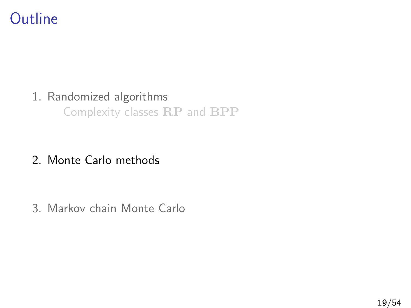# **Outline**

#### 1. [Randomized algorithms](#page-3-0)

[Complexity classes](#page-4-0) RP and BPP

#### 2. [Monte Carlo methods](#page-21-0)

<span id="page-21-0"></span>3. [Markov chain Monte Carlo](#page-40-0)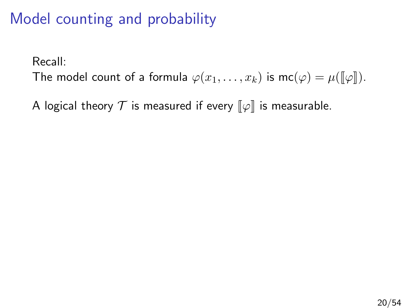# Model counting and probability

Recall:

The model count of a formula  $\varphi(x_1,\ldots,x_k)$  is mc $(\varphi) = \mu(\llbracket \varphi \rrbracket)$ .

A logical theory  $\mathcal T$  is measured if every  $\llbracket \varphi \rrbracket$  is measurable.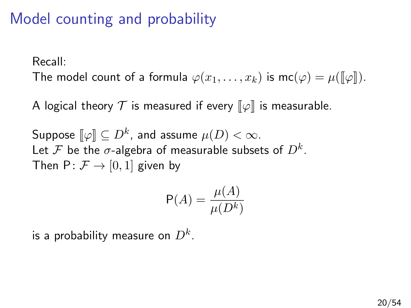# Model counting and probability

Recall:

The model count of a formula  $\varphi(x_1, \ldots, x_k)$  is  $mc(\varphi) = \mu(\lVert \varphi \rVert)$ .

A logical theory  $\mathcal T$  is measured if every  $\llbracket \varphi \rrbracket$  is measurable.

Suppose  $[\![\varphi]\!] \subseteq D^k$ , and assume  $\mu(D) < \infty$ . Let  ${\mathcal F}$  be the  $\sigma$ -algebra of measurable subsets of  $D^k.$ Then  $P: \mathcal{F} \rightarrow [0, 1]$  given by

$$
\mathsf{P}(A) = \frac{\mu(A)}{\mu(D^k)}
$$

is a probability measure on  $D^k.$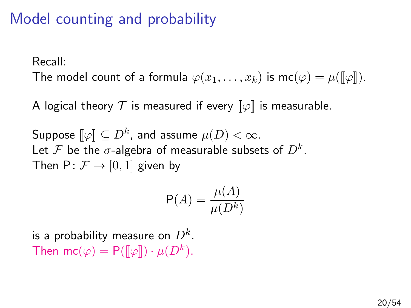# Model counting and probability

Recall:

The model count of a formula  $\varphi(x_1, \ldots, x_k)$  is  $mc(\varphi) = \mu(\lbrack\!\lbrack \varphi \rbrack\!\rbrack)$ .

A logical theory  $\mathcal T$  is measured if every  $\llbracket \varphi \rrbracket$  is measurable.

Suppose  $[\![\varphi]\!] \subseteq D^k$ , and assume  $\mu(D) < \infty$ . Let  ${\mathcal F}$  be the  $\sigma$ -algebra of measurable subsets of  $D^k.$ Then  $P: \mathcal{F} \rightarrow [0, 1]$  given by

$$
\mathsf{P}(A) = \frac{\mu(A)}{\mu(D^k)}
$$

is a probability measure on  $D^k.$ Then mc( $\varphi$ ) = P( $[\![\varphi]\!]$ ) ·  $\mu(D^k)$ .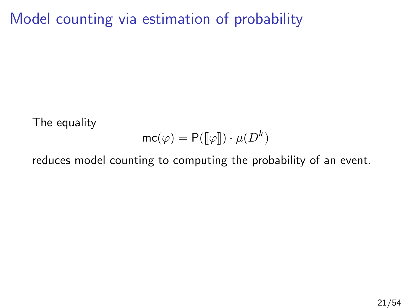Model counting via estimation of probability

The equality

$$
\mathsf{mc}(\varphi) = \mathsf{P}(\llbracket \varphi \rrbracket) \cdot \mu(D^k)
$$

reduces model counting to computing the probability of an event.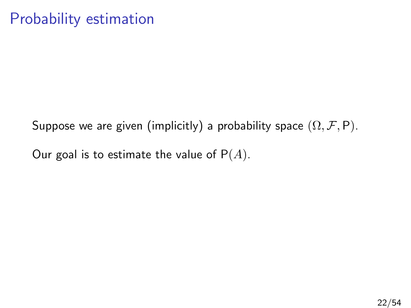# Probability estimation

Suppose we are given (implicitly) a probability space  $(\Omega, \mathcal{F}, P)$ .

Our goal is to estimate the value of  $P(A)$ .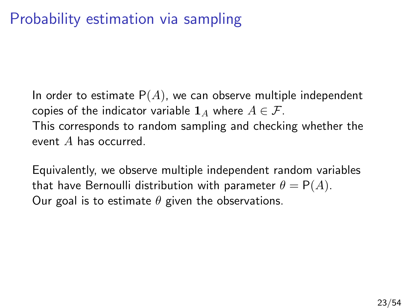# Probability estimation via sampling

In order to estimate  $P(A)$ , we can observe multiple independent copies of the indicator variable  $\mathbf{1}_A$  where  $A \in \mathcal{F}$ . This corresponds to random sampling and checking whether the event A has occurred.

Equivalently, we observe multiple independent random variables that have Bernoulli distribution with parameter  $\theta = P(A)$ . Our goal is to estimate  $\theta$  given the observations.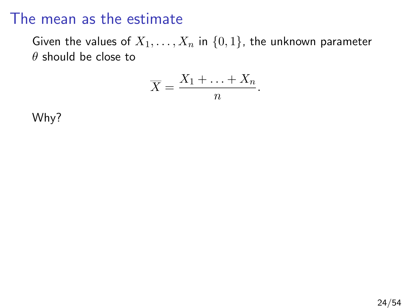Given the values of  $X_1, \ldots, X_n$  in  $\{0,1\}$ , the unknown parameter  $\theta$  should be close to

$$
\overline{X} = \frac{X_1 + \ldots + X_n}{n}.
$$

Why?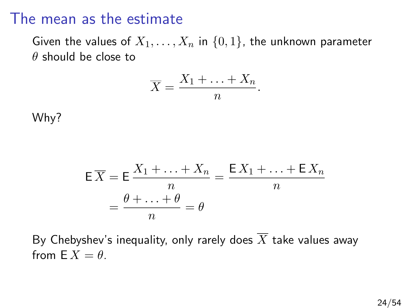Given the values of  $X_1, \ldots, X_n$  in  $\{0, 1\}$ , the unknown parameter  $\theta$  should be close to

$$
\overline{X} = \frac{X_1 + \ldots + X_n}{n}.
$$

Why?

$$
\mathsf{E}\overline{X} = \mathsf{E}\frac{X_1 + \dots + X_n}{n} = \frac{\mathsf{E}\,X_1 + \dots + \mathsf{E}\,X_n}{n}
$$

$$
= \frac{\theta + \dots + \theta}{n} = \theta
$$

By Chebyshev's inequality, only rarely does  $\overline{X}$  take values away from  $\mathsf{F} \, X = \theta$ .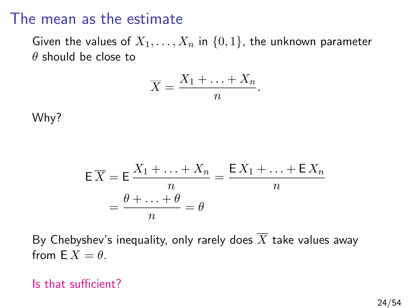Given the values of  $X_1, \ldots, X_n$  in  $\{0, 1\}$ , the unknown parameter  $\theta$  should be close to

$$
\overline{X} = \frac{X_1 + \ldots + X_n}{n}.
$$

Why?

$$
\mathsf{E}\overline{X} = \mathsf{E}\frac{X_1 + \dots + X_n}{n} = \frac{\mathsf{E}\,X_1 + \dots + \mathsf{E}\,X_n}{n}
$$

$$
= \frac{\theta + \dots + \theta}{n} = \theta
$$

By Chebyshev's inequality, only rarely does  $\overline{X}$  take values away from  $\mathsf{F} \, X = \theta$ .

#### Is that sufficient?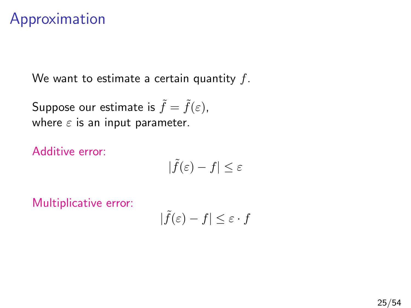## Approximation

We want to estimate a certain quantity  $f$ .

Suppose our estimate is  $\tilde{f} = \tilde{f}(\varepsilon)$ , where  $\varepsilon$  is an input parameter.

Additive error:

$$
|\tilde{f}(\varepsilon)-f|\leq \varepsilon
$$

Multiplicative error:

$$
|\tilde{f}(\varepsilon) - f| \le \varepsilon \cdot f
$$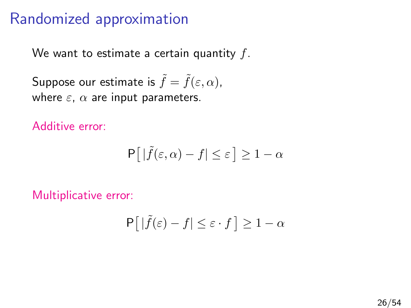# Randomized approximation

We want to estimate a certain quantity  $f$ .

Suppose our estimate is  $\tilde{f} = \tilde{f}(\varepsilon, \alpha)$ , where  $\varepsilon$ ,  $\alpha$  are input parameters.

Additive error:

$$
\mathsf{P}\big[\left|\tilde{f}(\varepsilon,\alpha)-f\right|\leq\varepsilon\big]\geq 1-\alpha
$$

Multiplicative error:

$$
\mathsf{P}\!\left[\,|\tilde{f}(\varepsilon)-f|\le\varepsilon\cdot f\,\right]\ge1-\alpha
$$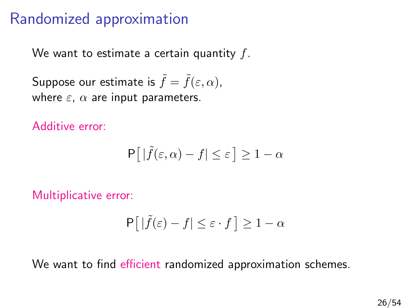# Randomized approximation

We want to estimate a certain quantity  $f$ .

Suppose our estimate is  $\tilde{f} = \tilde{f}(\varepsilon, \alpha)$ , where  $\varepsilon$ ,  $\alpha$  are input parameters.

Additive error:

$$
\mathsf{P}\big[\left|\tilde{f}(\varepsilon,\alpha)-f\right|\leq\varepsilon\big]\geq 1-\alpha
$$

Multiplicative error:

$$
\mathsf{P}\!\left[\,|\tilde{f}(\varepsilon)-f|\le\varepsilon\cdot f\,\right]\ge1-\alpha
$$

We want to find efficient randomized approximation schemes.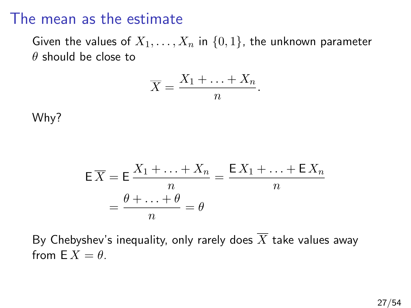Given the values of  $X_1, \ldots, X_n$  in  $\{0, 1\}$ , the unknown parameter  $\theta$  should be close to

$$
\overline{X} = \frac{X_1 + \ldots + X_n}{n}.
$$

Why?

$$
\mathsf{E}\overline{X} = \mathsf{E}\frac{X_1 + \dots + X_n}{n} = \frac{\mathsf{E}\,X_1 + \dots + \mathsf{E}\,X_n}{n}
$$

$$
= \frac{\theta + \dots + \theta}{n} = \theta
$$

By Chebyshev's inequality, only rarely does  $\overline{X}$  take values away from  $\mathsf{F} \, X = \theta$ .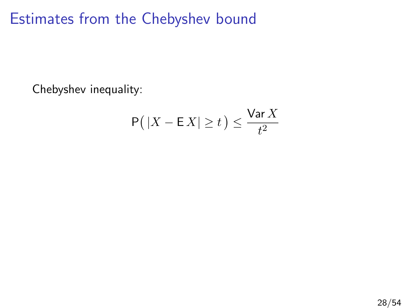Estimates from the Chebyshev bound

Chebyshev inequality:

$$
\mathsf{P}\big(\left|X - \mathsf{E}\,X\right| \ge t\big) \le \frac{\mathsf{Var}\,X}{t^2}
$$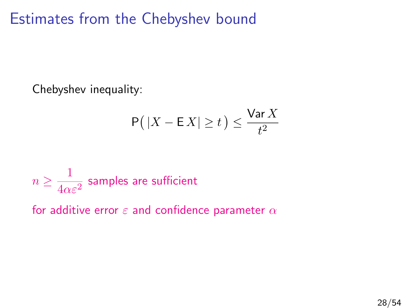Estimates from the Chebyshev bound

Chebyshev inequality:

$$
\mathsf{P}\big(\left|X - \mathsf{E}\,X\right| \ge t\big) \le \frac{\mathsf{Var}\,X}{t^2}
$$

$$
n \geq \frac{1}{4\alpha \varepsilon^2}
$$
 samples are sufficient

for additive error  $\varepsilon$  and confidence parameter  $\alpha$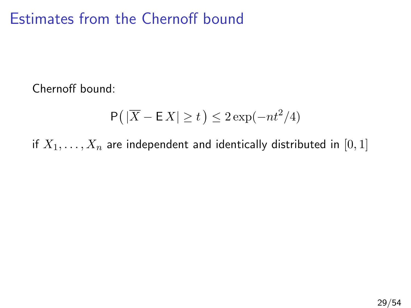#### Estimates from the Chernoff bound

Chernoff bound:

$$
\mathsf{P}\big(\left|\overline{X} - \mathsf{E}\,X\right| \ge t\big) \le 2\exp(-nt^2/4)
$$

if  $X_1, \ldots, X_n$  are independent and identically distributed in [0, 1]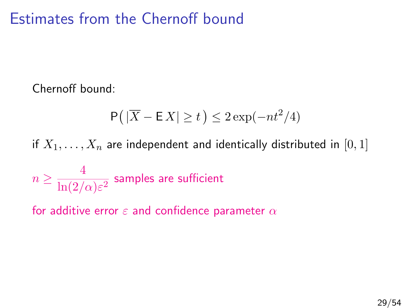### Estimates from the Chernoff bound

Chernoff bound:

$$
\mathsf{P}\big(\left|\overline{X} - \mathsf{E}\,X\right| \geq t\,\big) \leq 2\exp(-nt^2/4)
$$

if  $X_1, \ldots, X_n$  are independent and identically distributed in [0, 1]

$$
n \geq \frac{4}{\ln(2/\alpha)\varepsilon^2} \text{ samples are sufficient}
$$

for additive error  $\varepsilon$  and confidence parameter  $\alpha$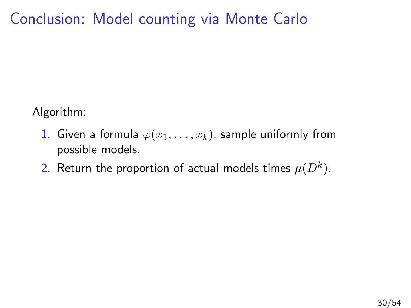# Conclusion: Model counting via Monte Carlo

Algorithm:

- 1. Given a formula  $\varphi(x_1,\ldots,x_k)$ , sample uniformly from possible models.
- 2. Return the proportion of actual models times  $\mu(D^k).$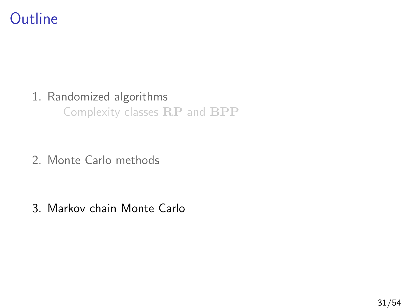### **Outline**

#### 1. [Randomized algorithms](#page-3-0)

[Complexity classes](#page-4-0) RP and BPP

2. [Monte Carlo methods](#page-21-0)

<span id="page-40-0"></span>3. [Markov chain Monte Carlo](#page-40-0)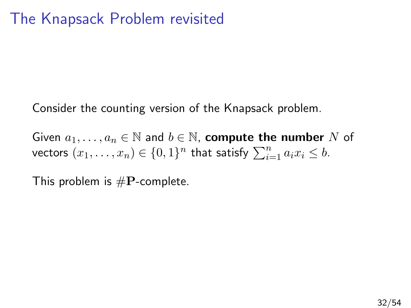Consider the counting version of the Knapsack problem.

Given  $a_1, \ldots, a_n \in \mathbb{N}$  and  $b \in \mathbb{N}$ , compute the number N of vectors  $(x_1, \ldots, x_n) \in \{0,1\}^n$  that satisfy  $\sum_{i=1}^n a_i x_i \leq b$ .

This problem is  $\#P$ -complete.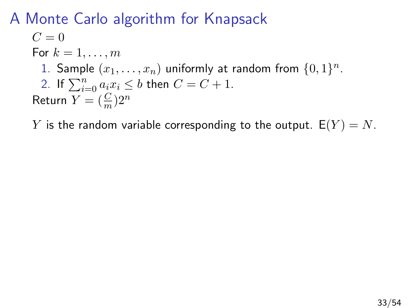#### A Monte Carlo algorithm for Knapsack

$$
C = 0
$$
  
For  $k = 1, ..., m$   
1. Sample  $(x_1, ..., x_n)$  uniformly at random from  $\{0, 1\}^n$ .  
2. If  $\sum_{i=0}^{n} a_i x_i \leq b$  then  $C = C + 1$ .  
Return  $Y = (\frac{C}{m})2^n$ 

Y is the random variable corresponding to the output.  $E(Y) = N$ .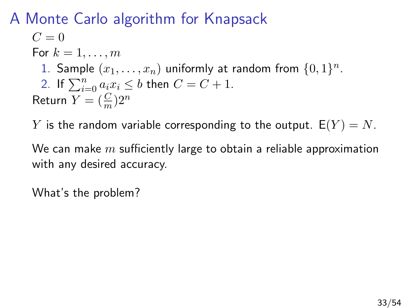### A Monte Carlo algorithm for Knapsack

 $C=0$ For  $k = 1, \ldots, m$ 1. Sample  $(x_1, \ldots, x_n)$  uniformly at random from  $\{0,1\}^n$ . 2. If  $\sum_{i=0}^{n} a_i x_i \leq b$  then  $C = C + 1$ . Return  $Y = (\frac{C}{m})2^n$ 

Y is the random variable corresponding to the output.  $E(Y) = N$ .

We can make  $m$  sufficiently large to obtain a reliable approximation with any desired accuracy.

What's the problem?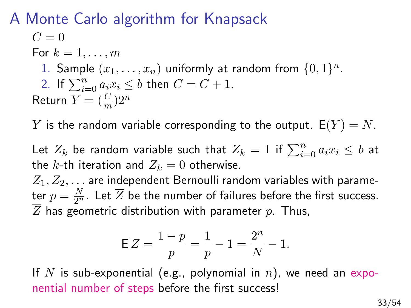#### A Monte Carlo algorithm for Knapsack

$$
C = 0
$$
  
For  $k = 1, ..., m$   
1. Sample  $(x_1, ..., x_n)$  uniformly at random from  $\{0, 1\}^n$ .  
2. If  $\sum_{i=0}^{n} a_i x_i \leq b$  then  $C = C + 1$ .  
Return  $Y = (\frac{C}{m})2^n$ 

Y is the random variable corresponding to the output.  $E(Y) = N$ .

Let  $Z_k$  be random variable such that  $Z_k = 1$  if  $\sum_{i=0}^n a_i x_i \leq b$  at the k-th iteration and  $Z_k = 0$  otherwise.

 $Z_1, Z_2, \ldots$  are independent Bernoulli random variables with parameter  $p=\frac{N}{2^n}.$  Let  $\overline{Z}$  be the number of failures before the first success.  $\overline{Z}$  has geometric distribution with parameter  $p$ . Thus,

$$
\mathsf{E}\,\overline{Z} = \frac{1-p}{p} = \frac{1}{p} - 1 = \frac{2^n}{N} - 1.
$$

If N is sub-exponential (e.g., polynomial in n), we need an exponential number of steps before the first success!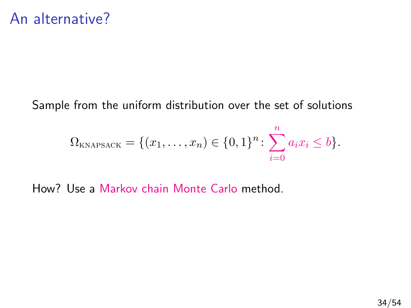#### Sample from the uniform distribution over the set of solutions

$$
\Omega_{\text{KNAPSACK}} = \{(x_1, \ldots, x_n) \in \{0, 1\}^n : \sum_{i=0}^n a_i x_i \leq b\}.
$$

How? Use a Markov chain Monte Carlo method.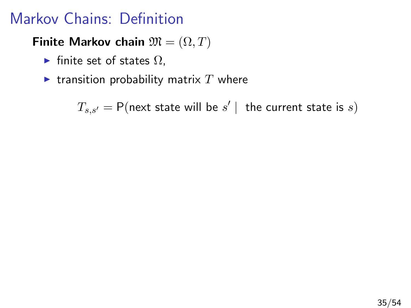# Markov Chains: Definition

#### Finite Markov chain  $\mathfrak{M} = (\Omega, T)$

- $\blacktriangleright$  finite set of states  $\Omega$ ,
- **Exercise is respected** transition probability matrix T where

 $T_{s,s'} = \mathsf{P}(\mathsf{next}\; \mathsf{state}\; \mathsf{will}\; \mathsf{be}\; s' \; | \; \; \mathsf{the}\; \mathsf{current}\; \mathsf{state}\; \mathsf{is}\; s)$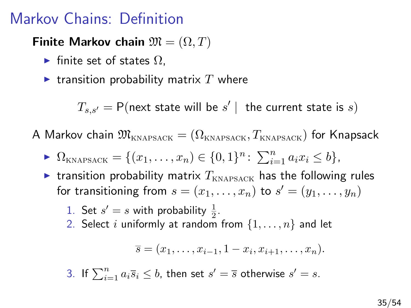### Markov Chains: Definition

Finite Markov chain  $\mathfrak{M} = (\Omega, T)$ 

- $\blacktriangleright$  finite set of states  $\Omega$ .
- $\blacktriangleright$  transition probability matrix T where

 $T_{s,s'} = \mathsf{P}(\mathsf{next}\; \mathsf{state}\; \mathsf{will}\; \mathsf{be}\; s' \; | \; \; \mathsf{the}\; \mathsf{current}\; \mathsf{state}\; \mathsf{is}\; s)$ 

A Markov chain  $\mathfrak{M}_{\text{KNAPSACK}} = (\Omega_{\text{KNAPSACK}}, T_{\text{KNAPSACK}})$  for Knapsack

- $\blacktriangleright \Omega_{\text{KNAPSACK}} = \{(x_1, \ldots, x_n) \in \{0, 1\}^n : \sum_{i=1}^n a_i x_i \leq b\},\$
- **Example 1** transition probability matrix  $T_{KNAPSACK}$  has the following rules for transitioning from  $s = (x_1, \ldots, x_n)$  to  $s' = (y_1, \ldots, y_n)$ 
	- 1. Set  $s' = s$  with probability  $\frac{1}{2}$ .
	- 2. Select i uniformly at random from  $\{1, \ldots, n\}$  and let

$$
\overline{s}=(x_1,\ldots,x_{i-1},1-x_i,x_{i+1},\ldots,x_n).
$$

3. If  $\sum_{i=1}^{n} a_i \overline{s}_i \leq b$ , then set  $s' = \overline{s}$  otherwise  $s' = s$ .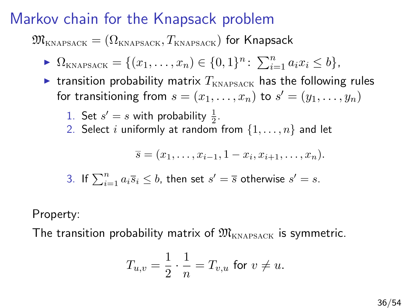### Markov chain for the Knapsack problem

 $\mathfrak{M}_{\text{KNAPSACK}} = (\Omega_{\text{KNAPSACK}}, T_{\text{KNAPSACK}})$  for Knapsack

$$
\blacktriangleright \Omega_{\text{KNAPSACK}} = \{ (x_1, \ldots, x_n) \in \{0, 1\}^n : \sum_{i=1}^n a_i x_i \leq b \},
$$

**Example 1** transition probability matrix  $T_{KNAPSACK}$  has the following rules for transitioning from  $s = (x_1, \ldots, x_n)$  to  $s' = (y_1, \ldots, y_n)$ 

\n- 1. Set 
$$
s' = s
$$
 with probability  $\frac{1}{2}$ .
\n- 2. Select *i* uniformly at random from  $\{1, \ldots, n\}$  and let
\n

$$
\overline{s} = (x_1, \ldots, x_{i-1}, 1 - x_i, x_{i+1}, \ldots, x_n).
$$

3. If 
$$
\sum_{i=1}^{n} a_i \overline{s}_i \leq b
$$
, then set  $s' = \overline{s}$  otherwise  $s' = s$ .

Property:

The transition probability matrix of  $\mathfrak{M}_{\kappa_{\text{NAPSAGE}}}$  is symmetric.

$$
T_{u,v}=\frac{1}{2}\cdot\frac{1}{n}=T_{v,u}\text{ for }v\neq u.
$$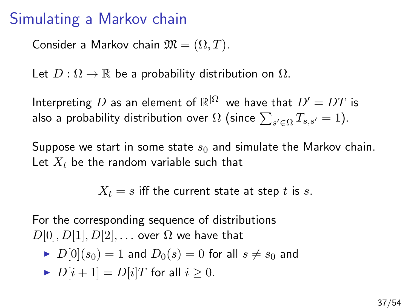#### Simulating a Markov chain

Consider a Markov chain  $\mathfrak{M} = (\Omega, T)$ .

Let  $D: \Omega \to \mathbb{R}$  be a probability distribution on  $\Omega$ .

Interpreting  $D$  as an element of  $\mathbb{R}^{|\Omega|}$  we have that  $D' = DT$  is also a probability distribution over  $\Omega$  (since  $\sum_{s'\in \Omega} T_{s,s'}=1).$ 

Suppose we start in some state  $s_0$  and simulate the Markov chain. Let  $X_t$  be the random variable such that

 $X_t = s$  iff the current state at step t is s.

For the corresponding sequence of distributions  $D[0], D[1], D[2], \ldots$  over  $\Omega$  we have that

$$
\blacktriangleright \ D[0](s_0) = 1 \text{ and } D_0(s) = 0 \text{ for all } s \neq s_0 \text{ and }
$$

$$
\blacktriangleright D[i+1] = D[i]T \text{ for all } i \geq 0.
$$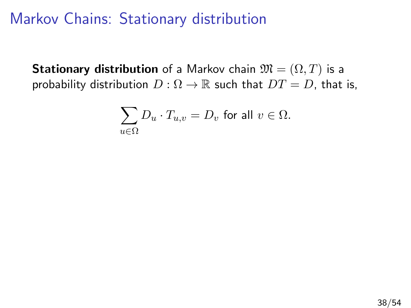**Stationary distribution** of a Markov chain  $\mathfrak{M} = (\Omega, T)$  is a probability distribution  $D: \Omega \to \mathbb{R}$  such that  $DT = D$ , that is,

$$
\sum_{u \in \Omega} D_u \cdot T_{u,v} = D_v \text{ for all } v \in \Omega.
$$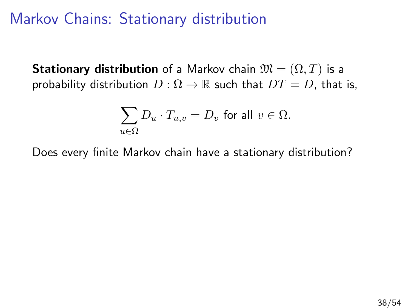**Stationary distribution** of a Markov chain  $\mathfrak{M} = (\Omega, T)$  is a probability distribution  $D: \Omega \to \mathbb{R}$  such that  $DT = D$ , that is,

$$
\sum_{u \in \Omega} D_u \cdot T_{u,v} = D_v \text{ for all } v \in \Omega.
$$

Does every finite Markov chain have a stationary distribution?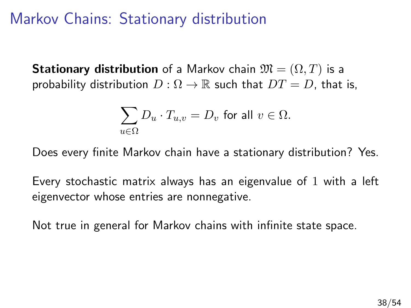**Stationary distribution** of a Markov chain  $\mathfrak{M} = (\Omega, T)$  is a probability distribution  $D: \Omega \to \mathbb{R}$  such that  $DT = D$ , that is,

$$
\sum_{u \in \Omega} D_u \cdot T_{u,v} = D_v \text{ for all } v \in \Omega.
$$

Does every finite Markov chain have a stationary distribution? Yes.

Every stochastic matrix always has an eigenvalue of 1 with a left eigenvector whose entries are nonnegative.

Not true in general for Markov chains with infinite state space.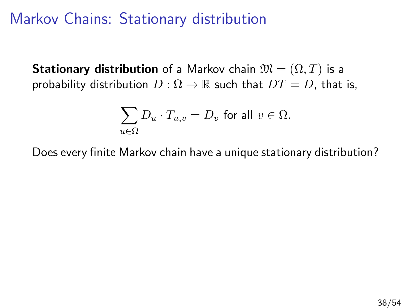**Stationary distribution** of a Markov chain  $\mathfrak{M} = (\Omega, T)$  is a probability distribution  $D: \Omega \to \mathbb{R}$  such that  $DT = D$ , that is,

$$
\sum_{u \in \Omega} D_u \cdot T_{u,v} = D_v \text{ for all } v \in \Omega.
$$

Does every finite Markov chain have a unique stationary distribution?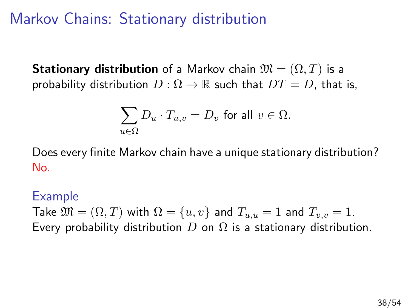**Stationary distribution** of a Markov chain  $\mathfrak{M} = (\Omega, T)$  is a probability distribution  $D: \Omega \to \mathbb{R}$  such that  $DT = D$ , that is,

$$
\sum_{u \in \Omega} D_u \cdot T_{u,v} = D_v \text{ for all } v \in \Omega.
$$

Does every finite Markov chain have a unique stationary distribution? No.

#### Example

Take  $\mathfrak{M} = (\Omega, T)$  with  $\Omega = \{u, v\}$  and  $T_{u,u} = 1$  and  $T_{v,v} = 1$ . Every probability distribution  $D$  on  $\Omega$  is a stationary distribution.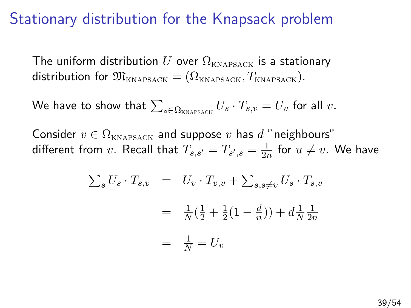#### Stationary distribution for the Knapsack problem

The uniform distribution U over  $\Omega_{\text{KNAPSACK}}$  is a stationary distribution for  $\mathfrak{M}_{\text{KNAPSACK}} = (\Omega_{\text{KNAPSACK}}, T_{\text{KNAPSACK}}).$ 

We have to show that  $\sum_{s \in \Omega_{\text{\tiny KNAPSACK}}} U_s \cdot T_{s,v} = U_v$  for all  $v.$ 

Consider  $v \in \Omega_{KNAPSACK}$  and suppose v has d "neighbours" different from  $v.$  Recall that  $T_{s,s'} = T_{s',s} = \frac{1}{2r}$  $\frac{1}{2n}$  for  $u \neq v$ . We have

$$
\sum_{s} U_{s} \cdot T_{s,v} = U_{v} \cdot T_{v,v} + \sum_{s,s \neq v} U_{s} \cdot T_{s,v}
$$

$$
= \frac{1}{N} (\frac{1}{2} + \frac{1}{2} (1 - \frac{d}{n})) + d \frac{1}{N} \frac{1}{2n}
$$

$$
= \frac{1}{N} = U_{v}
$$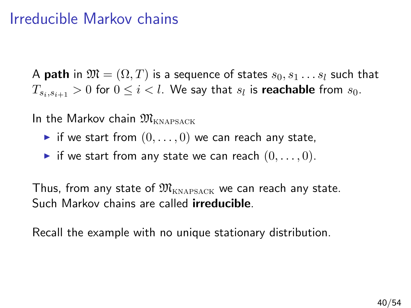#### Irreducible Markov chains

A **path** in  $\mathfrak{M} = (\Omega, T)$  is a sequence of states  $s_0, s_1 \dots s_l$  such that  $T_{s_i,s_{i+1}}>0$  for  $0\leq i < l.$  We say that  $s_l$  is  ${\sf reachable}$  from  $s_0.$ 

In the Markov chain  $\mathfrak{M}_{\text{\tiny KMMBSACK}}$ 

- if we start from  $(0, \ldots, 0)$  we can reach any state,
- if we start from any state we can reach  $(0, \ldots, 0)$ .

Thus, from any state of  $\mathfrak{M}_{\text{KNAPSACK}}$  we can reach any state. Such Markov chains are called irreducible.

Recall the example with no unique stationary distribution.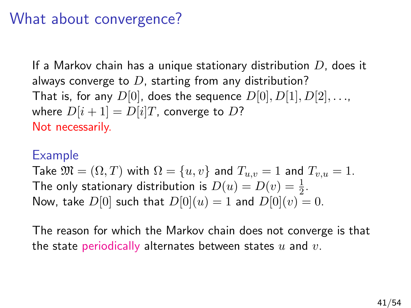#### What about convergence?

If a Markov chain has a unique stationary distribution  $D$ , does it always converge to  $D$ , starting from any distribution? That is, for any  $D[0]$ , does the sequence  $D[0], D[1], D[2], \ldots$ , where  $D[i+1] = D[i]T$ , converge to D? Not necessarily.

#### Example

Take  $\mathfrak{M} = (\Omega, T)$  with  $\Omega = \{u, v\}$  and  $T_{u,v} = 1$  and  $T_{v,u} = 1$ . The only stationary distribution is  $D(u) = D(v) = \frac{1}{2}$ . Now, take  $D[0]$  such that  $D[0](u) = 1$  and  $D[0](v) = 0$ .

The reason for which the Markov chain does not converge is that the state periodically alternates between states  $u$  and  $v$ .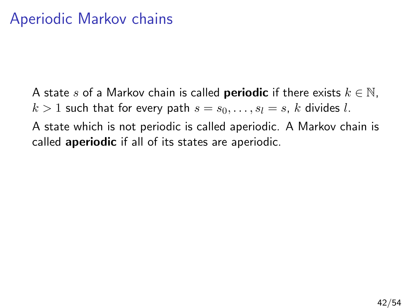A state s of a Markov chain is called **periodic** if there exists  $k \in \mathbb{N}$ ,  $k > 1$  such that for every path  $s = s_0, \ldots, s_l = s$ , k divides l.

A state which is not periodic is called aperiodic. A Markov chain is called **aperiodic** if all of its states are aperiodic.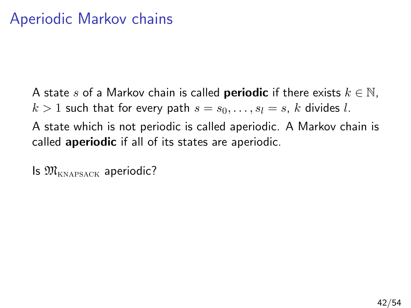A state s of a Markov chain is called **periodic** if there exists  $k \in \mathbb{N}$ ,  $k > 1$  such that for every path  $s = s_0, \ldots, s_l = s$ , k divides l. A state which is not periodic is called aperiodic. A Markov chain is

called **aperiodic** if all of its states are aperiodic.

Is  $\mathfrak{M}_{\text{KNABSACK}}$  aperiodic?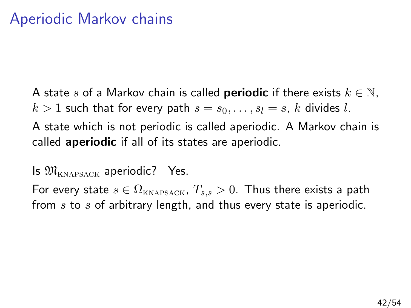A state s of a Markov chain is called **periodic** if there exists  $k \in \mathbb{N}$ ,  $k > 1$  such that for every path  $s = s_0, \ldots, s_l = s$ , k divides l.

A state which is not periodic is called aperiodic. A Markov chain is called **aperiodic** if all of its states are aperiodic.

Is  $\mathfrak{M}_{\text{KNAPSACK}}$  aperiodic? Yes.

For every state  $s \in \Omega_{\text{KNAPSACK}}, T_{s,s} > 0$ . Thus there exists a path from  $s$  to  $s$  of arbitrary length, and thus every state is aperiodic.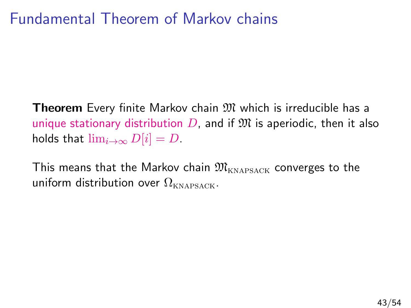#### Fundamental Theorem of Markov chains

**Theorem** Every finite Markov chain  $M$  which is irreducible has a unique stationary distribution  $D$ , and if  $\mathfrak{M}$  is aperiodic, then it also holds that  $\lim_{i\to\infty} D[i] = D$ .

This means that the Markov chain  $\mathfrak{M}_{\text{KNAPSACK}}$  converges to the uniform distribution over  $\Omega_{\text{KNAPSACK}}$ .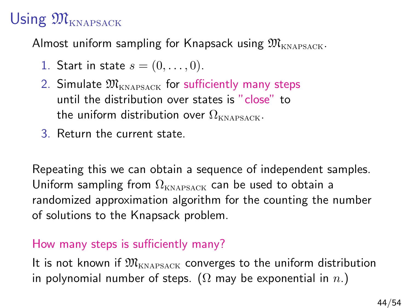# Using  $\mathfrak{M}_{\text{kNAPSACK}}$

Almost uniform sampling for Knapsack using  $\mathfrak{M}_{\text{kNAPSACK}}$ .

- 1. Start in state  $s = (0, \ldots, 0)$ .
- 2. Simulate  $\mathfrak{M}_{\text{KNAPSACK}}$  for sufficiently many steps until the distribution over states is "close" to the uniform distribution over  $\Omega_{\text{KNAPSACK}}$ .
- 3. Return the current state.

Repeating this we can obtain a sequence of independent samples. Uniform sampling from  $\Omega_{\text{KNABSACK}}$  can be used to obtain a randomized approximation algorithm for the counting the number of solutions to the Knapsack problem.

#### How many steps is sufficiently many?

It is not known if  $\mathfrak{M}_{\text{\tiny KNAPSACK}}$  converges to the uniform distribution in polynomial number of steps. ( $\Omega$  may be exponential in  $n.$ )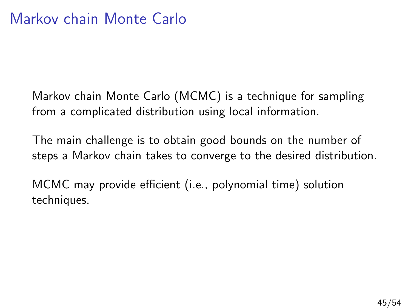Markov chain Monte Carlo (MCMC) is a technique for sampling from a complicated distribution using local information.

The main challenge is to obtain good bounds on the number of steps a Markov chain takes to converge to the desired distribution.

MCMC may provide efficient (i.e., polynomial time) solution techniques.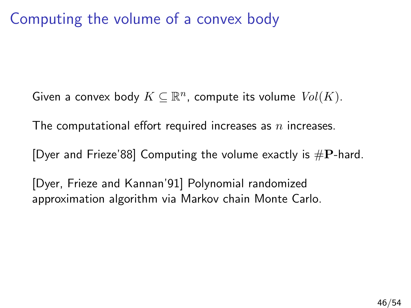### Computing the volume of a convex body

Given a convex body  $K \subseteq \mathbb{R}^n$ , compute its volume  $\mathit{Vol}(K)$ .

The computational effort required increases as  $n$  increases.

[Dyer and Frieze'88] Computing the volume exactly is  $\#P$ -hard.

[Dyer, Frieze and Kannan'91] Polynomial randomized approximation algorithm via Markov chain Monte Carlo.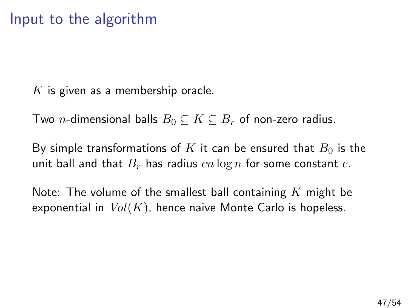$K$  is given as a membership oracle.

Two *n*-dimensional balls  $B_0 \subseteq K \subseteq B_r$  of non-zero radius.

By simple transformations of K it can be ensured that  $B_0$  is the unit ball and that  $B_r$  has radius  $cn \log n$  for some constant c.

Note: The volume of the smallest ball containing  $K$  might be exponential in  $Vol(K)$ , hence naive Monte Carlo is hopeless.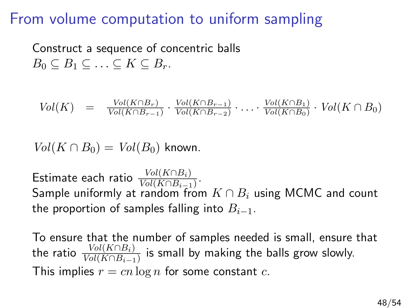#### From volume computation to uniform sampling

Construct a sequence of concentric balls  $B_0 \subseteq B_1 \subseteq \ldots \subseteq K \subseteq B_r$ .

$$
Vol(K) = \frac{Vol(K \cap B_r)}{Vol(K \cap B_{r-1})} \cdot \frac{Vol(K \cap B_{r-1})}{Vol(K \cap B_{r-2})} \cdot \ldots \cdot \frac{Vol(K \cap B_1)}{Vol(K \cap B_0)} \cdot Vol(K \cap B_0)
$$

 $Vol(K \cap B_0) = Vol(B_0)$  known.

Estimate each ratio  $\frac{Vol(K \cap B_i)}{Vol(K \cap B_{i-1})}$ . Sample uniformly at random from  $K \cap B_i$  using MCMC and count the proportion of samples falling into  $B_{i-1}$ .

To ensure that the number of samples needed is small, ensure that the ratio  $\frac{Vol(K \cap B_i)}{Vol(K \cap B_{i-1})}$  is small by making the balls grow slowly. This implies  $r = cn \log n$  for some constant c.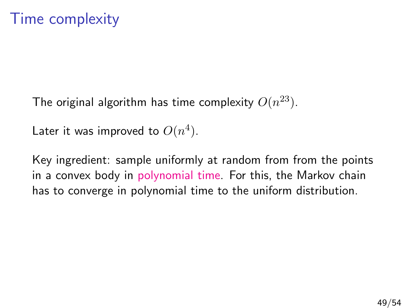The original algorithm has time complexity  $O(n^{23})$ .

Later it was improved to  $O(n^4)$ .

Key ingredient: sample uniformly at random from from the points in a convex body in polynomial time. For this, the Markov chain has to converge in polynomial time to the uniform distribution.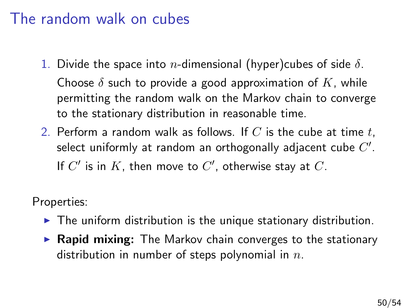#### The random walk on cubes

- 1. Divide the space into *n*-dimensional (hyper)cubes of side  $\delta$ . Choose  $\delta$  such to provide a good approximation of K, while permitting the random walk on the Markov chain to converge to the stationary distribution in reasonable time.
- 2. Perform a random walk as follows. If C is the cube at time t, select uniformly at random an orthogonally adjacent cube  $C^{\prime}.$ If  $C'$  is in  $K$ , then move to  $C'$ , otherwise stay at  $C$ .

Properties:

- $\blacktriangleright$  The uniform distribution is the unique stationary distribution.
- $\triangleright$  Rapid mixing: The Markov chain converges to the stationary distribution in number of steps polynomial in  $n$ .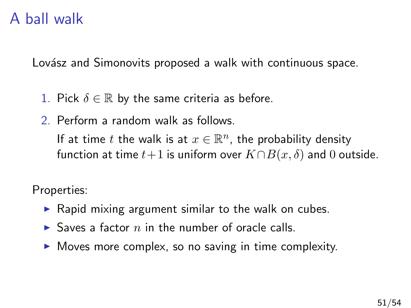### A ball walk

Lovász and Simonovits proposed a walk with continuous space.

- 1. Pick  $\delta \in \mathbb{R}$  by the same criteria as before.
- 2. Perform a random walk as follows.

If at time t the walk is at  $x \in \mathbb{R}^n$ , the probability density function at time  $t+1$  is uniform over  $K \cap B(x, \delta)$  and 0 outside.

Properties:

- $\triangleright$  Rapid mixing argument similar to the walk on cubes.
- $\triangleright$  Saves a factor n in the number of oracle calls.
- $\triangleright$  Moves more complex, so no saving in time complexity.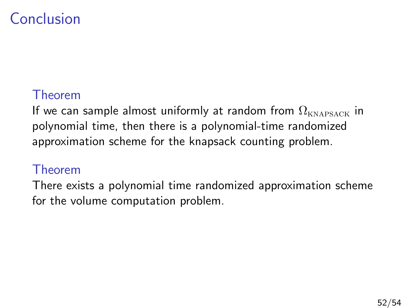# Conclusion

#### Theorem

If we can sample almost uniformly at random from  $\Omega_{\text{KNAPSACK}}$  in polynomial time, then there is a polynomial-time randomized approximation scheme for the knapsack counting problem.

#### Theorem

There exists a polynomial time randomized approximation scheme for the volume computation problem.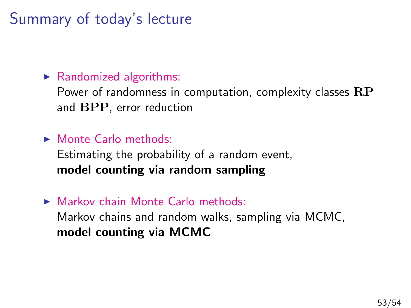# Summary of today's lecture

#### $\blacktriangleright$  Randomized algorithms:

Power of randomness in computation, complexity classes  $\mathbf{RP}$ and BPP, error reduction

#### $\blacktriangleright$  Monte Carlo methods:

Estimating the probability of a random event, model counting via random sampling

 $\triangleright$  Markov chain Monte Carlo methods: Markov chains and random walks, sampling via MCMC, model counting via MCMC